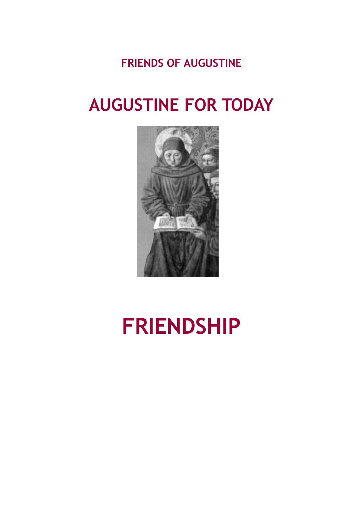**FRIENDS OF AUGUSTINE**

# **AUGUSTINE FOR TODAY**



# **FRIENDSHIP**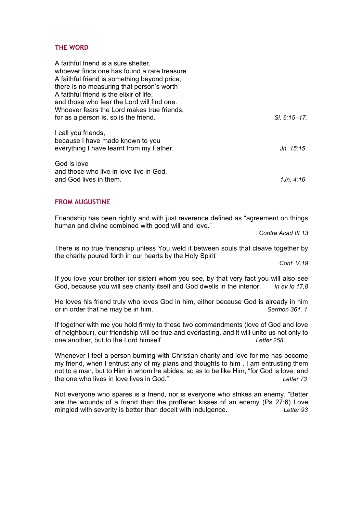### **THE WORD**

| A faithful friend is a sure shelter,<br>whoever finds one has found a rare treasure. |               |
|--------------------------------------------------------------------------------------|---------------|
|                                                                                      |               |
| A faithful friend is something beyond price,                                         |               |
| there is no measuring that person's worth                                            |               |
| A faithful friend is the elixir of life,                                             |               |
| and those who fear the Lord will find one.                                           |               |
| Whoever fears the Lord makes true friends,                                           |               |
| for as a person is, so is the friend.                                                | Si. 6:15 -17. |
| I call you friends,                                                                  |               |
| because I have made known to you                                                     |               |
| everything I have learnt from my Father.                                             | Jn. 15:15     |
| God is love                                                                          |               |
| and those who live in love live in God,                                              |               |
| and God lives in them.                                                               | 1Jn. 4:16     |

#### **FROM AUGUSTINE**

Friendship has been rightly and with just reverence defined as "agreement on things human and divine combined with good will and love."

*Contra Acad III 13*

There is no true friendship unless You weld it between souls that cleave together by the charity poured forth in our hearts by the Holy Spirit

*Conf V,19*

If you love your brother (or sister) whom you see, by that very fact you will also see God, because you will see charity itself and God dwells in the interior. *In ev Io 17,8*

He loves his friend truly who loves God in him, either because God is already in him or in order that he may be in him. *Sermon 361, 1*

If together with me you hold firmly to these two commandments (love of God and love of neighbour), our friendship will be true and everlasting, and it will unite us not only to one another, but to the Lord himself *Letter 258*

Whenever I feel a person burning with Christian charity and love for me has become my friend, when I entrust any of my plans and thoughts to him , I am entrusting them not to a man, but to Him in whom he abides, so as to be like Him, "for God is love, and the one who lives in love lives in God." *Letter 73*

Not everyone who spares is a friend, nor is everyone who strikes an enemy. "Better are the wounds of a friend than the proffered kisses of an enemy (Ps 27:6) Love mingled with severity is better than deceit with indulgence. *Letter 93*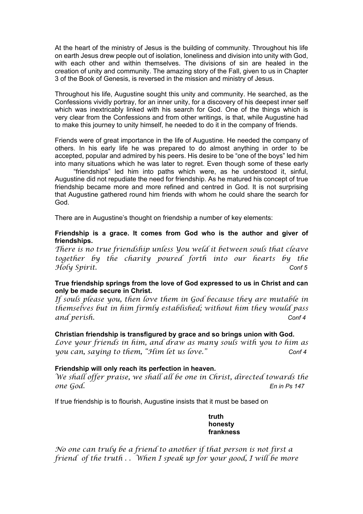At the heart of the ministry of Jesus is the building of community. Throughout his life on earth Jesus drew people out of isolation, loneliness and division into unity with God, with each other and within themselves. The divisions of sin are healed in the creation of unity and community. The amazing story of the Fall, given to us in Chapter 3 of the Book of Genesis, is reversed in the mission and ministry of Jesus.

Throughout his life, Augustine sought this unity and community. He searched, as the Confessions vividly portray, for an inner unity, for a discovery of his deepest inner self which was inextricably linked with his search for God. One of the things which is very clear from the Confessions and from other writings, is that, while Augustine had to make this journey to unity himself, he needed to do it in the company of friends.

Friends were of great importance in the life of Augustine. He needed the company of others. In his early life he was prepared to do almost anything in order to be accepted, popular and admired by his peers. His desire to be "one of the boys" led him into many situations which he was later to regret. Even though some of these early

 "friendships" led him into paths which were, as he understood it, sinful, Augustine did not repudiate the need for friendship. As he matured his concept of true friendship became more and more refined and centred in God. It is not surprising that Augustine gathered round him friends with whom he could share the search for God.

There are in Augustine's thought on friendship a number of key elements:

#### **Friendship is a grace. It comes from God who is the author and giver of friendships.**

*There is no true friendship unless You weld it between souls that cleave together by the charity poured forth into our hearts by the Holy Spirit. Conf 5*

#### **True friendship springs from the love of God expressed to us in Christ and can only be made secure in Christ.**

*If souls please you, then love them in God because they are mutable in themselves but in him firmly established; without him they would pass and perish. Conf 4*

#### **Christian friendship is transfigured by grace and so brings union with God.**

*Love your friends in him, and draw as many souls with you to him as you can, saying to them, "Him let us love." Conf 4*

#### **Friendship will only reach its perfection in heaven.**

*We shall offer praise, we shall all be one in Christ, directed towards the one God. En in Ps 147*

If true friendship is to flourish, Augustine insists that it must be based on

**truth honesty frankness**

*No one can truly be a friend to another if that person is not first a friend of the truth . . When I speak up for your good, I will be more*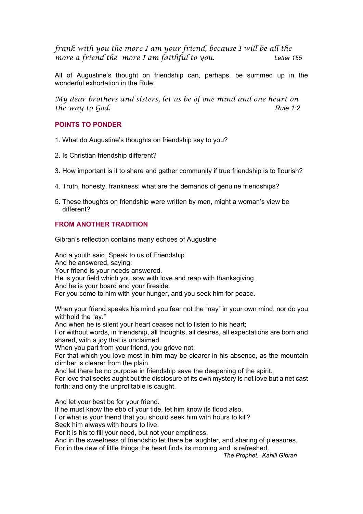*frank with you the more I am your friend, because I will be all the more a friend the more I am faithful to you. Letter 155*

All of Augustine's thought on friendship can, perhaps, be summed up in the wonderful exhortation in the Rule:

*My dear brothers and sisters, let us be of one mind and one heart on the way to God.* Rule 1:2

# **POINTS TO PONDER**

- 1. What do Augustine's thoughts on friendship say to you?
- 2. Is Christian friendship different?
- 3. How important is it to share and gather community if true friendship is to flourish?
- 4. Truth, honesty, frankness: what are the demands of genuine friendships?
- 5. These thoughts on friendship were written by men, might a woman's view be different?

# **FROM ANOTHER TRADITION**

Gibran's reflection contains many echoes of Augustine

And a youth said, Speak to us of Friendship. And he answered, saying: Your friend is your needs answered. He is your field which you sow with love and reap with thanksgiving. And he is your board and your fireside.

For you come to him with your hunger, and you seek him for peace.

When your friend speaks his mind you fear not the "nay" in your own mind, nor do you withhold the "ay."

And when he is silent your heart ceases not to listen to his heart;

For without words, in friendship, all thoughts, all desires, all expectations are born and shared, with a joy that is unclaimed.

When you part from your friend, you grieve not;

For that which you love most in him may be clearer in his absence, as the mountain climber is clearer from the plain.

And let there be no purpose in friendship save the deepening of the spirit.

For love that seeks aught but the disclosure of its own mystery is not love but a net cast forth: and only the unprofitable is caught.

And let your best be for your friend.

If he must know the ebb of your tide, let him know its flood also.

For what is your friend that you should seek him with hours to kill?

Seek him always with hours to live.

For it is his to fill your need, but not your emptiness.

And in the sweetness of friendship let there be laughter, and sharing of pleasures. For in the dew of little things the heart finds its morning and is refreshed.

*The Prophet. Kahlil Gibran*